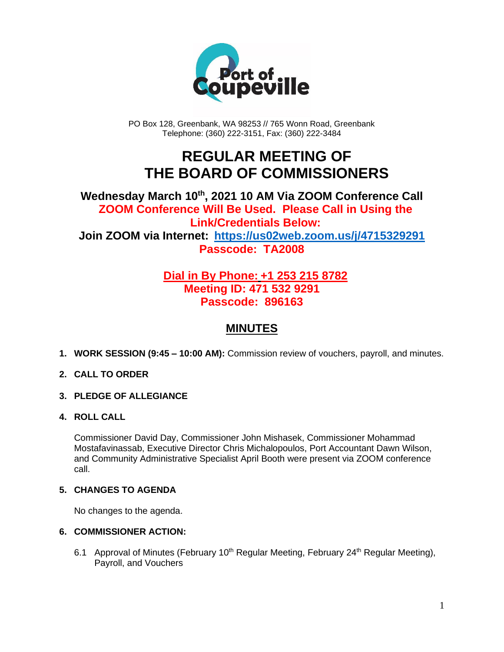

PO Box 128, Greenbank, WA 98253 // 765 Wonn Road, Greenbank Telephone: (360) 222-3151, Fax: (360) 222-3484

## **REGULAR MEETING OF THE BOARD OF COMMISSIONERS**

## **Wednesday March 10th, 2021 10 AM Via ZOOM Conference Call ZOOM Conference Will Be Used. Please Call in Using the Link/Credentials Below: Join ZOOM via Internet: <https://us02web.zoom.us/j/4715329291> Passcode: TA2008**

## **Dial in By Phone: +1 253 215 8782 Meeting ID: 471 532 9291 Passcode: 896163**

## **MINUTES**

**1. WORK SESSION (9:45 – 10:00 AM):** Commission review of vouchers, payroll, and minutes.

#### **2. CALL TO ORDER**

- **3. PLEDGE OF ALLEGIANCE**
- **4. ROLL CALL**

Commissioner David Day, Commissioner John Mishasek, Commissioner Mohammad Mostafavinassab, Executive Director Chris Michalopoulos, Port Accountant Dawn Wilson, and Community Administrative Specialist April Booth were present via ZOOM conference call.

#### **5. CHANGES TO AGENDA**

No changes to the agenda.

#### **6. COMMISSIONER ACTION:**

6.1 Approval of Minutes (February 10<sup>th</sup> Regular Meeting, February 24<sup>th</sup> Regular Meeting), Payroll, and Vouchers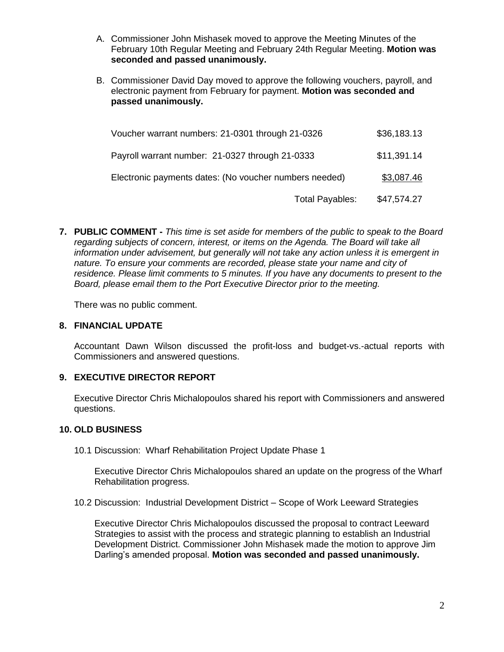- A. Commissioner John Mishasek moved to approve the Meeting Minutes of the February 10th Regular Meeting and February 24th Regular Meeting. **Motion was seconded and passed unanimously.**
- B. Commissioner David Day moved to approve the following vouchers, payroll, and electronic payment from February for payment. **Motion was seconded and passed unanimously.**

| Voucher warrant numbers: 21-0301 through 21-0326       |                        | \$36,183.13 |
|--------------------------------------------------------|------------------------|-------------|
| Payroll warrant number: 21-0327 through 21-0333        |                        | \$11,391.14 |
| Electronic payments dates: (No voucher numbers needed) |                        | \$3,087.46  |
|                                                        | <b>Total Payables:</b> | \$47,574.27 |

**7. PUBLIC COMMENT -** *This time is set aside for members of the public to speak to the Board regarding subjects of concern, interest, or items on the Agenda. The Board will take all information under advisement, but generally will not take any action unless it is emergent in nature. To ensure your comments are recorded, please state your name and city of residence. Please limit comments to 5 minutes. If you have any documents to present to the Board, please email them to the Port Executive Director prior to the meeting.*

There was no public comment.

#### **8. FINANCIAL UPDATE**

Accountant Dawn Wilson discussed the profit-loss and budget-vs.-actual reports with Commissioners and answered questions.

#### **9. EXECUTIVE DIRECTOR REPORT**

Executive Director Chris Michalopoulos shared his report with Commissioners and answered questions.

#### **10. OLD BUSINESS**

10.1 Discussion: Wharf Rehabilitation Project Update Phase 1

Executive Director Chris Michalopoulos shared an update on the progress of the Wharf Rehabilitation progress.

10.2 Discussion: Industrial Development District – Scope of Work Leeward Strategies

Executive Director Chris Michalopoulos discussed the proposal to contract Leeward Strategies to assist with the process and strategic planning to establish an Industrial Development District. Commissioner John Mishasek made the motion to approve Jim Darling's amended proposal. **Motion was seconded and passed unanimously.**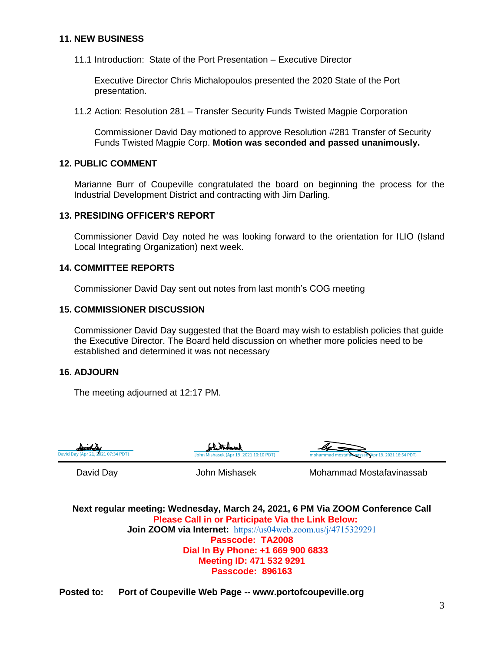#### **11. NEW BUSINESS**

11.1 Introduction: State of the Port Presentation – Executive Director

Executive Director Chris Michalopoulos presented the 2020 State of the Port presentation.

11.2 Action: Resolution 281 – Transfer Security Funds Twisted Magpie Corporation

Commissioner David Day motioned to approve Resolution #281 Transfer of Security Funds Twisted Magpie Corp. **Motion was seconded and passed unanimously.**

#### **12. PUBLIC COMMENT**

Marianne Burr of Coupeville congratulated the board on beginning the process for the Industrial Development District and contracting with Jim Darling.

#### **13. PRESIDING OFFICER'S REPORT**

Commissioner David Day noted he was looking forward to the orientation for ILIO (Island Local Integrating Organization) next week.

#### **14. COMMITTEE REPORTS**

Commissioner David Day sent out notes from last month's COG meeting

#### **15. COMMISSIONER DISCUSSION**

Commissioner David Day suggested that the Board may wish to establish policies that guide the Executive Director. The Board held discussion on whether more policies need to be established and determined it was not necessary

#### **16. ADJOURN**

The meeting adjourned at 12:17 PM.







David Day **Mohammad Mostafavinassab** John Mishasek Mohammad Mostafavinassab

**Next regular meeting: Wednesday, March 24, 2021, 6 PM Via ZOOM Conference Call Please Call in or Participate Via the Link Below: Join ZOOM via Internet:** <https://us04web.zoom.us/j/4715329291> **Passcode: TA2008 Dial In By Phone: +1 669 900 6833 Meeting ID: 471 532 9291 Passcode: 896163**

**Posted to: Port of Coupeville Web Page -- www.portofcoupeville.org**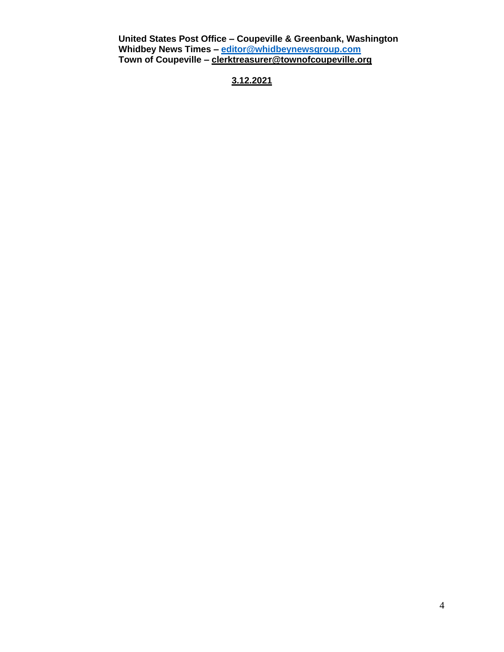**United States Post Office – Coupeville & Greenbank, Washington Whidbey News Times – [editor@whidbeynewsgroup.com](mailto:editor@whidbeynewsgroup.com) Town of Coupeville – [clerktreasurer@townofcoupeville.org](mailto:clerktreasurer@townofcoupeville.org)**

**3.12.2021**